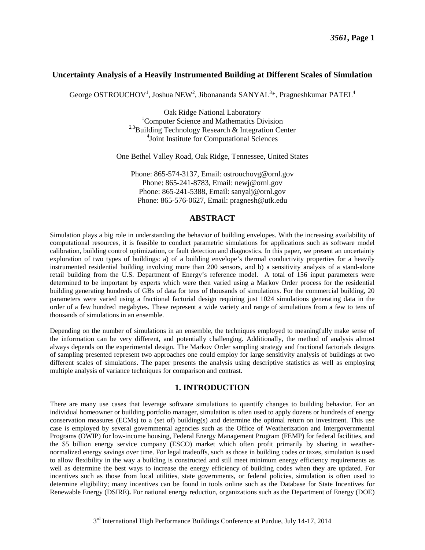## **Uncertainty Analysis of a Heavily Instrumented Building at Different Scales of Simulation**

George OSTROUCHOV<sup>1</sup>, Joshua NEW<sup>2</sup>, Jibonananda SANYAL<sup>3\*</sup>, Pragneshkumar PATEL<sup>4</sup>

Oak Ridge National Laboratory <sup>1</sup>Computer Science and Mathematics Division <sup>2,3</sup>Building Technology Research & Integration Center 4 Joint Institute for Computational Sciences

One Bethel Valley Road, Oak Ridge, Tennessee, United States

Phone: 865-574-3137, Email: ostrouchovg@ornl.gov Phone: 865-241-8783, Email: newj@ornl.gov Phone: 865-241-5388, Email: sanyalj@ornl.gov Phone: 865-576-0627, Email: pragnesh@utk.edu

# **ABSTRACT**

Simulation plays a big role in understanding the behavior of building envelopes. With the increasing availability of computational resources, it is feasible to conduct parametric simulations for applications such as software model calibration, building control optimization, or fault detection and diagnostics. In this paper, we present an uncertainty exploration of two types of buildings: a) of a building envelope's thermal conductivity properties for a heavily instrumented residential building involving more than 200 sensors, and b) a sensitivity analysis of a stand-alone retail building from the U.S. Department of Energy's reference model. A total of 156 input parameters were determined to be important by experts which were then varied using a Markov Order process for the residential building generating hundreds of GBs of data for tens of thousands of simulations. For the commercial building, 20 parameters were varied using a fractional factorial design requiring just 1024 simulations generating data in the order of a few hundred megabytes. These represent a wide variety and range of simulations from a few to tens of thousands of simulations in an ensemble.

Depending on the number of simulations in an ensemble, the techniques employed to meaningfully make sense of the information can be very different, and potentially challenging. Additionally, the method of analysis almost always depends on the experimental design. The Markov Order sampling strategy and fractional factorials designs of sampling presented represent two approaches one could employ for large sensitivity analysis of buildings at two different scales of simulations. The paper presents the analysis using descriptive statistics as well as employing multiple analysis of variance techniques for comparison and contrast.

# **1. INTRODUCTION**

There are many use cases that leverage software simulations to quantify changes to building behavior. For an individual homeowner or building portfolio manager, simulation is often used to apply dozens or hundreds of energy conservation measures (ECMs) to a (set of) building(s) and determine the optimal return on investment. This use case is employed by several governmental agencies such as the Office of Weatherization and Intergovernmental Programs (OWIP) for low-income housing, Federal Energy Management Program (FEMP) for federal facilities, and the \$5 billion energy service company (ESCO) market which often profit primarily by sharing in weathernormalized energy savings over time. For legal tradeoffs, such as those in building codes or taxes, simulation is used to allow flexibility in the way a building is constructed and still meet minimum energy efficiency requirements as well as determine the best ways to increase the energy efficiency of building codes when they are updated. For incentives such as those from local utilities, state governments, or federal policies, simulation is often used to determine eligibility; many incentives can be found in tools online such as the Database for State Incentives for Renewable Energy (DSIRE)**.** For national energy reduction, organizations such as the Department of Energy (DOE)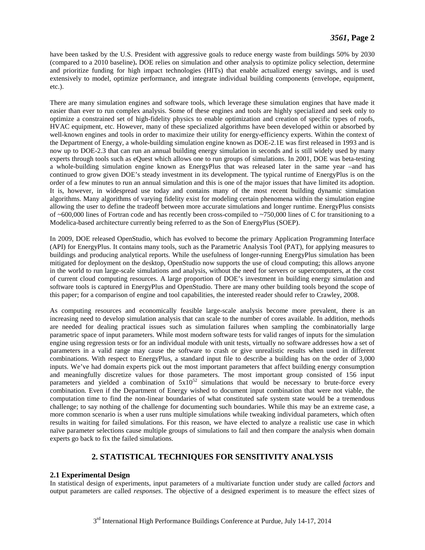have been tasked by the U.S. President with aggressive goals to reduce energy waste from buildings 50% by 2030 (compared to a 2010 baseline)**.** DOE relies on simulation and other analysis to optimize policy selection, determine and prioritize funding for high impact technologies (HITs) that enable actualized energy savings, and is used extensively to model, optimize performance, and integrate individual building components (envelope, equipment, etc.).

There are many simulation engines and software tools, which leverage these simulation engines that have made it easier than ever to run complex analysis. Some of these engines and tools are highly specialized and seek only to optimize a constrained set of high-fidelity physics to enable optimization and creation of specific types of roofs, HVAC equipment, etc. However, many of these specialized algorithms have been developed within or absorbed by well-known engines and tools in order to maximize their utility for energy-efficiency experts. Within the context of the Department of Energy, a whole-building simulation engine known as DOE-2.1E was first released in 1993 and is now up to DOE-2.3 that can run an annual building energy simulation in seconds and is still widely used by many experts through tools such as eQuest which allows one to run groups of simulations. In 2001, DOE was beta-testing a whole-building simulation engine known as EnergyPlus that was released later in the same year –and has continued to grow given DOE's steady investment in its development. The typical runtime of EnergyPlus is on the order of a few minutes to run an annual simulation and this is one of the major issues that have limited its adoption. It is, however, in widespread use today and contains many of the most recent building dynamic simulation algorithms. Many algorithms of varying fidelity exist for modeling certain phenomena within the simulation engine allowing the user to define the tradeoff between more accurate simulations and longer runtime. EnergyPlus consists of ~600,000 lines of Fortran code and has recently been cross-compiled to ~750,000 lines of C for transitioning to a Modelica-based architecture currently being referred to as the Son of EnergyPlus (SOEP).

In 2009, DOE released OpenStudio, which has evolved to become the primary Application Programming Interface (API) for EnergyPlus. It contains many tools, such as the Parametric Analysis Tool (PAT), for applying measures to buildings and producing analytical reports. While the usefulness of longer-running EnergyPlus simulation has been mitigated for deployment on the desktop, OpenStudio now supports the use of cloud computing; this allows anyone in the world to run large-scale simulations and analysis, without the need for servers or supercomputers, at the cost of current cloud computing resources. A large proportion of DOE's investment in building energy simulation and software tools is captured in EnergyPlus and OpenStudio. There are many other building tools beyond the scope of this paper; for a comparison of engine and tool capabilities, the interested reader should refer to Crawley, 2008.

As computing resources and economically feasible large-scale analysis become more prevalent, there is an increasing need to develop simulation analysis that can scale to the number of cores available. In addition, methods are needed for dealing practical issues such as simulation failures when sampling the combinatorially large parametric space of input parameters. While most modern software tests for valid ranges of inputs for the simulation engine using regression tests or for an individual module with unit tests, virtually no software addresses how a set of parameters in a valid range may cause the software to crash or give unrealistic results when used in different combinations. With respect to EnergyPlus, a standard input file to describe a building has on the order of 3,000 inputs. We've had domain experts pick out the most important parameters that affect building energy consumption and meaningfully discretize values for those parameters. The most important group consisted of 156 input parameters and yielded a combination of  $5x10^{52}$  simulations that would be necessary to brute-force every combination. Even if the Department of Energy wished to document input combination that were not viable, the computation time to find the non-linear boundaries of what constituted safe system state would be a tremendous challenge; to say nothing of the challenge for documenting such boundaries. While this may be an extreme case, a more common scenario is when a user runs multiple simulations while tweaking individual parameters, which often results in waiting for failed simulations. For this reason, we have elected to analyze a realistic use case in which naïve parameter selections cause multiple groups of simulations to fail and then compare the analysis when domain experts go back to fix the failed simulations.

# **2. STATISTICAL TECHNIQUES FOR SENSITIVITY ANALYSIS**

### **2.1 Experimental Design**

In statistical design of experiments, input parameters of a multivariate function under study are called *factors* and output parameters are called *responses*. The objective of a designed experiment is to measure the effect sizes of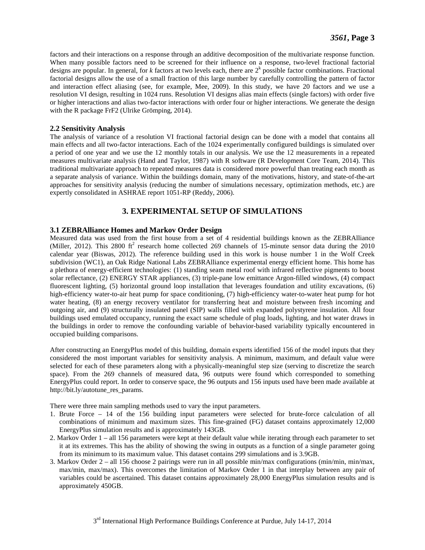factors and their interactions on a response through an additive decomposition of the multivariate response function. When many possible factors need to be screened for their influence on a response, two-level fractional factorial designs are popular. In general, for  $k$  factors at two levels each, there are  $2^k$  possible factor combinations. Fractional factorial designs allow the use of a small fraction of this large number by carefully controlling the pattern of factor and interaction effect aliasing (see, for example, Mee, 2009). In this study, we have 20 factors and we use a resolution VI design, resulting in 1024 runs. Resolution VI designs alias main effects (single factors) with order five or higher interactions and alias two-factor interactions with order four or higher interactions. We generate the design with the R package FrF2 (Ulrike Grömping, 2014).

### **2.2 Sensitivity Analysis**

The analysis of variance of a resolution VI fractional factorial design can be done with a model that contains all main effects and all two-factor interactions. Each of the 1024 experimentally configured buildings is simulated over a period of one year and we use the 12 monthly totals in our analysis. We use the 12 measurements in a repeated measures multivariate analysis (Hand and Taylor, 1987) with R software (R Development Core Team, 2014). This traditional multivariate approach to repeated measures data is considered more powerful than treating each month as a separate analysis of variance. Within the buildings domain, many of the motivations, history, and state-of-the-art approaches for sensitivity analysis (reducing the number of simulations necessary, optimization methods, etc.) are expertly consolidated in ASHRAE report 1051-RP (Reddy, 2006).

# **3. EXPERIMENTAL SETUP OF SIMULATIONS**

## **3.1 ZEBRAlliance Homes and Markov Order Design**

Measured data was used from the first house from a set of 4 residential buildings known as the ZEBRAlliance (Miller, 2012). This 2800 ft<sup>2</sup> research home collected 269 channels of 15-minute sensor data during the 2010 calendar year (Biswas, 2012). The reference building used in this work is house number 1 in the Wolf Creek subdivision (WC1), an Oak Ridge National Labs ZEBRAlliance experimental energy efficient home. This home has a plethora of energy-efficient technologies: (1) standing seam metal roof with infrared reflective pigments to boost solar reflectance, (2) ENERGY STAR appliances, (3) triple-pane low emittance Argon-filled windows, (4) compact fluorescent lighting, (5) horizontal ground loop installation that leverages foundation and utility excavations, (6) high-efficiency water-to-air heat pump for space conditioning, (7) high-efficiency water-to-water heat pump for hot water heating, (8) an energy recovery ventilator for transferring heat and moisture between fresh incoming and outgoing air, and (9) structurally insulated panel (SIP) walls filled with expanded polystyrene insulation. All four buildings used emulated occupancy, running the exact same schedule of plug loads, lighting, and hot water draws in the buildings in order to remove the confounding variable of behavior-based variability typically encountered in occupied building comparisons.

After constructing an EnergyPlus model of this building, domain experts identified 156 of the model inputs that they considered the most important variables for sensitivity analysis. A minimum, maximum, and default value were selected for each of these parameters along with a physically-meaningful step size (serving to discretize the search space). From the 269 channels of measured data, 96 outputs were found which corresponded to something EnergyPlus could report. In order to conserve space, the 96 outputs and 156 inputs used have been made available at http://bit.ly/autotune\_res\_params.

There were three main sampling methods used to vary the input parameters.

- 1. Brute Force 14 of the 156 building input parameters were selected for brute-force calculation of all combinations of minimum and maximum sizes. This fine-grained (FG) dataset contains approximately 12,000 EnergyPlus simulation results and is approximately 143GB.
- 2. Markov Order 1 all 156 parameters were kept at their default value while iterating through each parameter to set it at its extremes. This has the ability of showing the swing in outputs as a function of a single parameter going from its minimum to its maximum value. This dataset contains 299 simulations and is 3.9GB.
- 3. Markov Order 2 all 156 choose 2 pairings were run in all possible min/max configurations (min/min, min/max, max/min, max/max). This overcomes the limitation of Markov Order 1 in that interplay between any pair of variables could be ascertained. This dataset contains approximately 28,000 EnergyPlus simulation results and is approximately 450GB.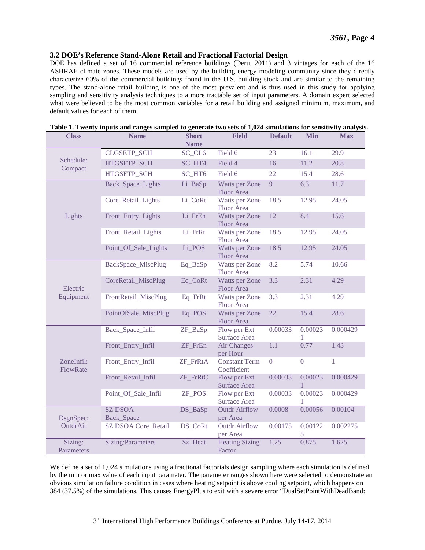#### **3.2 DOE's Reference Stand-Alone Retail and Fractional Factorial Design**

DOE has defined a set of 16 commercial reference buildings (Deru, 2011) and 3 vintages for each of the 16 ASHRAE climate zones. These models are used by the building energy modeling community since they directly characterize 60% of the commercial buildings found in the U.S. building stock and are similar to the remaining types. The stand-alone retail building is one of the most prevalent and is thus used in this study for applying sampling and sensitivity analysis techniques to a more tractable set of input parameters. A domain expert selected what were believed to be the most common variables for a retail building and assigned minimum, maximum, and default values for each of them.

| <b>Class</b>           | <b>Name</b>                       | <b>Short</b><br><b>Name</b> | <b>Field</b>                                 | <b>Default</b> | <b>Min</b>              | <b>Max</b>   |
|------------------------|-----------------------------------|-----------------------------|----------------------------------------------|----------------|-------------------------|--------------|
| Schedule:<br>Compact   | <b>CLGSETP_SCH</b>                | SC_CL6                      | Field 6                                      | 23             | 16.1                    | 29.9         |
|                        | HTGSETP_SCH                       | SC_HT4                      | Field 4                                      | 16             | 11.2                    | 20.8         |
|                        | HTGSETP_SCH                       | SC_HT6                      | Field 6                                      | 22             | 15.4                    | 28.6         |
| Lights                 | Back_Space_Lights                 | Li_BaSp                     | Watts per Zone<br>Floor Area                 | 9              | 6.3                     | 11.7         |
|                        | Core_Retail_Lights                | Li_CoRt                     | Watts per Zone<br>Floor Area                 | 18.5           | 12.95                   | 24.05        |
|                        | Front_Entry_Lights                | Li_FrEn                     | Watts per Zone<br><b>Floor Area</b>          | 12             | 8.4                     | 15.6         |
|                        | Front_Retail_Lights               | Li_FrRt                     | Watts per Zone<br>Floor Area                 | 18.5           | 12.95                   | 24.05        |
|                        | Point_Of_Sale_Lights              | Li_POS                      | Watts per Zone<br><b>Floor Area</b>          | 18.5           | 12.95                   | 24.05        |
| Electric<br>Equipment  | BackSpace_MiscPlug                | Eq_BaSp                     | Watts per Zone<br>Floor Area                 | 8.2            | 5.74                    | 10.66        |
|                        | CoreRetail_MiscPlug               | Eq_CoRt                     | Watts per Zone<br><b>Floor Area</b>          | 3.3            | 2.31                    | 4.29         |
|                        | FrontRetail_MiscPlug              | Eq_FrRt                     | Watts per Zone<br>Floor Area                 | 3.3            | 2.31                    | 4.29         |
|                        | PointOfSale_MiscPlug              | Eq_POS                      | Watts per Zone<br><b>Floor Area</b>          | 22             | 15.4                    | 28.6         |
| ZoneInfil:<br>FlowRate | Back_Space_Infil                  | ZF_BaSp                     | Flow per Ext<br>Surface Area                 | 0.00033        | 0.00023<br>1            | 0.000429     |
|                        | Front_Entry_Infil                 | ZF_FrEn                     | <b>Air Changes</b><br>per Hour               | 1.1            | 0.77                    | 1.43         |
|                        | Front_Entry_Infil                 | ZF_FrRtA                    | <b>Constant Term</b><br>Coefficient          | $\overline{0}$ | $\overline{0}$          | $\mathbf{1}$ |
|                        | Front_Retail_Infil                | ZF_FrRtC                    | Flow per Ext<br>Surface Area                 | 0.00033        | 0.00023<br>$\mathbf{1}$ | 0.000429     |
|                        | Point_Of_Sale_Infil               | <b>ZF_POS</b>               | Flow per Ext<br>Surface Area                 | 0.00033        | 0.00023<br>1            | 0.000429     |
| DsgnSpec:<br>OutdrAir  | <b>SZ DSOA</b>                    | DS_BaSp                     | <b>Outdr Airflow</b>                         | 0.0008         | 0.00056                 | 0.00104      |
|                        | Back_Space<br>SZ DSOA Core_Retail | DS_CoRt                     | per Area<br><b>Outdr Airflow</b><br>per Area | 0.00175        | 0.00122<br>5            | 0.002275     |
| Sizing:<br>Parameters  | <b>Sizing:Parameters</b>          | Sz_Heat                     | <b>Heating Sizing</b><br>Factor              | 1.25           | 0.875                   | 1.625        |

|  |  |  |  |  |  |  | Table 1. Twenty inputs and ranges sampled to generate two sets of 1,024 simulations for sensitivity analysis. |  |
|--|--|--|--|--|--|--|---------------------------------------------------------------------------------------------------------------|--|
|--|--|--|--|--|--|--|---------------------------------------------------------------------------------------------------------------|--|

We define a set of 1,024 simulations using a fractional factorials design sampling where each simulation is defined by the min or max value of each input parameter. The parameter ranges shown here were selected to demonstrate an obvious simulation failure condition in cases where heating setpoint is above cooling setpoint, which happens on 384 (37.5%) of the simulations. This causes EnergyPlus to exit with a severe error "DualSetPointWithDeadBand: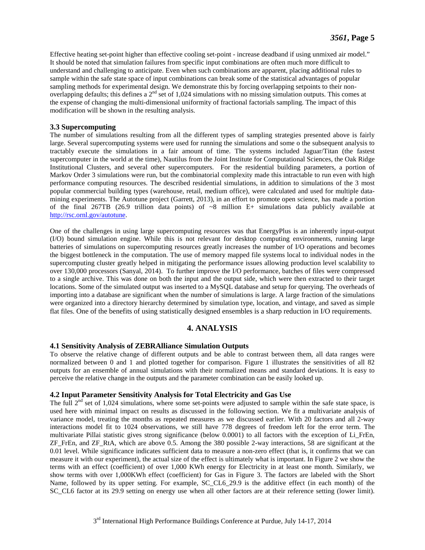Effective heating set-point higher than effective cooling set-point - increase deadband if using unmixed air model." It should be noted that simulation failures from specific input combinations are often much more difficult to understand and challenging to anticipate. Even when such combinations are apparent, placing additional rules to sample within the safe state space of input combinations can break some of the statistical advantages of popular sampling methods for experimental design. We demonstrate this by forcing overlapping setpoints to their nonoverlapping defaults; this defines a 2<sup>nd</sup> set of 1,024 simulations with no missing simulation outputs. This comes at the expense of changing the multi-dimensional uniformity of fractional factorials sampling. The impact of this modification will be shown in the resulting analysis.

## **3.3 Supercomputing**

The number of simulations resulting from all the different types of sampling strategies presented above is fairly large. Several supercomputing systems were used for running the simulations and some o the subsequent analysis to tractably execute the simulations in a fair amount of time. The systems included Jaguar/Titan (the fastest supercomputer in the world at the time), Nautilus from the Joint Institute for Computational Sciences, the Oak Ridge Institutional Clusters, and several other supercomputers. For the residential building parameters, a portion of Markov Order 3 simulations were run, but the combinatorial complexity made this intractable to run even with high performance computing resources. The described residential simulations, in addition to simulations of the 3 most popular commercial building types (warehouse, retail, medium office), were calculated and used for multiple datamining experiments. The Autotune project (Garrett, 2013), in an effort to promote open science, has made a portion of the final 267TB (26.9 trillion data points) of  $\sim$ 8 million E+ simulations data publicly available at [http://rsc.ornl.gov/autotune.](http://rsc.ornl.gov/autotune)

One of the challenges in using large supercomputing resources was that EnergyPlus is an inherently input-output (I/O) bound simulation engine. While this is not relevant for desktop computing environments, running large batteries of simulations on supercomputing resources greatly increases the number of I/O operations and becomes the biggest bottleneck in the computation. The use of memory mapped file systems local to individual nodes in the supercomputing cluster greatly helped in mitigating the performance issues allowing production level scalability to over 130,000 processors (Sanyal, 2014). To further improve the I/O performance, batches of files were compressed to a single archive. This was done on both the input and the output side, which were then extracted to their target locations. Some of the simulated output was inserted to a MySQL database and setup for querying. The overheads of importing into a database are significant when the number of simulations is large. A large fraction of the simulations were organized into a directory hierarchy determined by simulation type, location, and vintage, and saved as simple flat files. One of the benefits of using statistically designed ensembles is a sharp reduction in I/O requirements.

# **4. ANALYSIS**

### **4.1 Sensitivity Analysis of ZEBRAlliance Simulation Outputs**

To observe the relative change of different outputs and be able to contrast between them, all data ranges were normalized between 0 and 1 and plotted together for comparison. Figure 1 illustrates the sensitivities of all 82 outputs for an ensemble of annual simulations with their normalized means and standard deviations. It is easy to perceive the relative change in the outputs and the parameter combination can be easily looked up.

### **4.2 Input Parameter Sensitivity Analysis for Total Electricity and Gas Use**

The full  $2<sup>nd</sup>$  set of 1,024 simulations, where some set-points were adjusted to sample within the safe state space, is used here with minimal impact on results as discussed in the following section. We fit a multivariate analysis of variance model, treating the months as repeated measures as we discussed earlier. With 20 factors and all 2-way interactions model fit to 1024 observations, we still have 778 degrees of freedom left for the error term. The multivariate Pillai statistic gives strong significance (below 0.0001) to all factors with the exception of Li\_FrEn, ZF\_FrEn, and ZF\_RtA, which are above 0.5. Among the 380 possible 2-way interactions, 58 are significant at the 0.01 level. While significance indicates sufficient data to measure a non-zero effect (that is, it confirms that we can measure it with our experiment), the actual size of the effect is ultimately what is important. In Figure 2 we show the terms with an effect (coefficient) of over 1,000 KWh energy for Electricity in at least one month. Similarly, we show terms with over 1,000KWh effect (coefficient) for Gas in Figure 3. The factors are labeled with the Short Name, followed by its upper setting. For example, SC\_CL6\_29.9 is the additive effect (in each month) of the SC\_CL6 factor at its 29.9 setting on energy use when all other factors are at their reference setting (lower limit).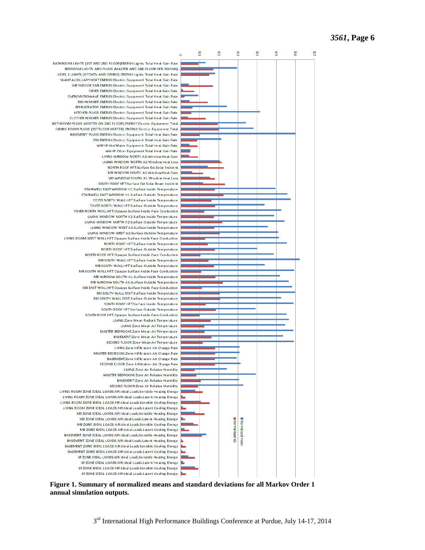

**Figure 1. Summary of normalized means and standard deviations for all Markov Order 1 annual simulation outputs.**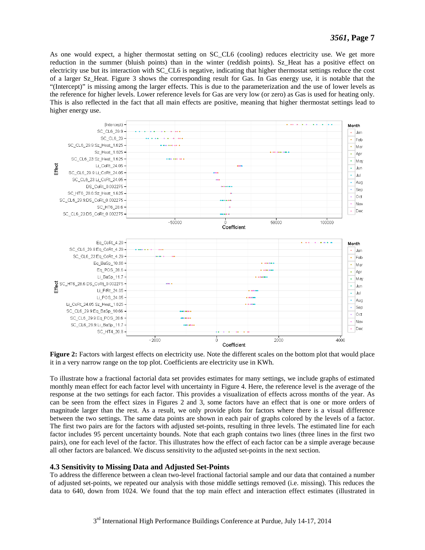As one would expect, a higher thermostat setting on SC CL6 (cooling) reduces electricity use. We get more reduction in the summer (bluish points) than in the winter (reddish points). Sz Heat has a positive effect on electricity use but its interaction with SC\_CL6 is negative, indicating that higher thermostat settings reduce the cost of a larger Sz\_Heat. Figure 3 shows the corresponding result for Gas. In Gas energy use, it is notable that the "(Intercept)" is missing among the larger effects. This is due to the parameterization and the use of lower levels as the reference for higher levels. Lower reference levels for Gas are very low (or zero) as Gas is used for heating only. This is also reflected in the fact that all main effects are positive, meaning that higher thermostat settings lead to higher energy use.



**Figure 2:** Factors with largest effects on electricity use. Note the different scales on the bottom plot that would place it in a very narrow range on the top plot. Coefficients are electricity use in KWh.

To illustrate how a fractional factorial data set provides estimates for many settings, we include graphs of estimated monthly mean effect for each factor level with uncertainty in Figure 4. Here, the reference level is the average of the response at the two settings for each factor. This provides a visualization of effects across months of the year. As can be seen from the effect sizes in Figures 2 and 3, some factors have an effect that is one or more orders of magnitude larger than the rest. As a result, we only provide plots for factors where there is a visual difference between the two settings. The same data points are shown in each pair of graphs colored by the levels of a factor. The first two pairs are for the factors with adjusted set-points, resulting in three levels. The estimated line for each factor includes 95 percent uncertainty bounds. Note that each graph contains two lines (three lines in the first two pairs), one for each level of the factor. This illustrates how the effect of each factor can be a simple average because all other factors are balanced. We discuss sensitivity to the adjusted set-points in the next section.

### **4.3 Sensitivity to Missing Data and Adjusted Set-Points**

To address the difference between a clean two-level fractional factorial sample and our data that contained a number of adjusted set-points, we repeated our analysis with those middle settings removed (i.e. missing). This reduces the data to 640, down from 1024. We found that the top main effect and interaction effect estimates (illustrated in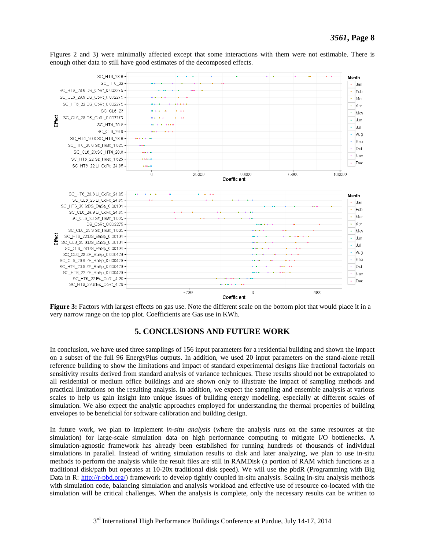

Figures 2 and 3) were minimally affected except that some interactions with them were not estimable. There is enough other data to still have good estimates of the decomposed effects.

**Figure 3:** Factors with largest effects on gas use. Note the different scale on the bottom plot that would place it in a very narrow range on the top plot. Coefficients are Gas use in KWh.

# **5. CONCLUSIONS AND FUTURE WORK**

In conclusion, we have used three samplings of 156 input parameters for a residential building and shown the impact on a subset of the full 96 EnergyPlus outputs. In addition, we used 20 input parameters on the stand-alone retail reference building to show the limitations and impact of standard experimental designs like fractional factorials on sensitivity results derived from standard analysis of variance techniques. These results should not be extrapolated to all residential or medium office buildings and are shown only to illustrate the impact of sampling methods and practical limitations on the resulting analysis. In addition, we expect the sampling and ensemble analysis at various scales to help us gain insight into unique issues of building energy modeling, especially at different scales of simulation. We also expect the analytic approaches employed for understanding the thermal properties of building envelopes to be beneficial for software calibration and building design.

In future work, we plan to implement *in-situ analysis* (where the analysis runs on the same resources at the simulation) for large-scale simulation data on high performance computing to mitigate I/O bottlenecks. A simulation-agnostic framework has already been established for running hundreds of thousands of individual simulations in parallel. Instead of writing simulation results to disk and later analyzing, we plan to use in-situ methods to perform the analysis while the result files are still in RAMDisk (a portion of RAM which functions as a traditional disk/path but operates at 10-20x traditional disk speed). We will use the pbdR (Programming with Big Data in R: [http://r-pbd.org/\)](http://r-pbd.org/) framework to develop tightly coupled in-situ analysis. Scaling in-situ analysis methods with simulation code, balancing simulation and analysis workload and effective use of resource co-located with the simulation will be critical challenges. When the analysis is complete, only the necessary results can be written to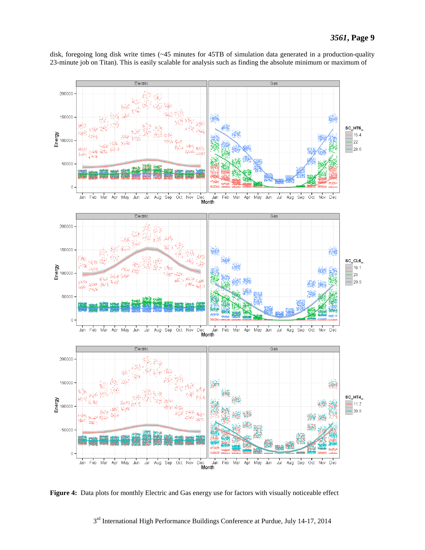disk, foregoing long disk write times (~45 minutes for 45TB of simulation data generated in a production-quality 23-minute job on Titan). This is easily scalable for analysis such as finding the absolute minimum or maximum of



Figure 4: Data plots for monthly Electric and Gas energy use for factors with visually noticeable effect

3rd International High Performance Buildings Conference at Purdue, July 14-17, 2014